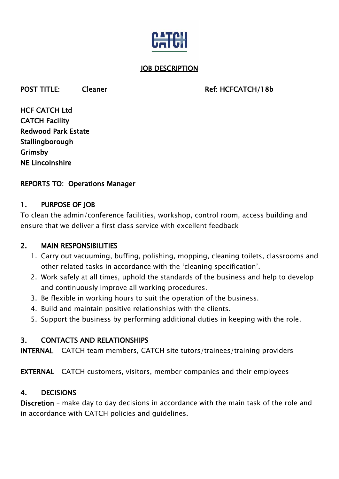

#### **JOB DESCRIPTION**

#### POST TITLE: Cleaner Cleaner Ref: HCFCATCH/18b

HCF CATCH Ltd CATCH Facility Redwood Park Estate Stallingborough Grimsby NE Lincolnshire

### REPORTS TO: Operations Manager

#### 1. PURPOSE OF JOB

To clean the admin/conference facilities, workshop, control room, access building and ensure that we deliver a first class service with excellent feedback

### 2. MAIN RESPONSIBILITIES

- 1. Carry out vacuuming, buffing, polishing, mopping, cleaning toilets, classrooms and other related tasks in accordance with the 'cleaning specification'.
- 2. Work safely at all times, uphold the standards of the business and help to develop and continuously improve all working procedures.
- 3. Be flexible in working hours to suit the operation of the business.
- 4. Build and maintain positive relationships with the clients.
- 5. Support the business by performing additional duties in keeping with the role.

### 3. CONTACTS AND RELATIONSHIPS

INTERNAL CATCH team members, CATCH site tutors/trainees/training providers

EXTERNAL CATCH customers, visitors, member companies and their employees

### 4. DECISIONS

Discretion – make day to day decisions in accordance with the main task of the role and in accordance with CATCH policies and guidelines.